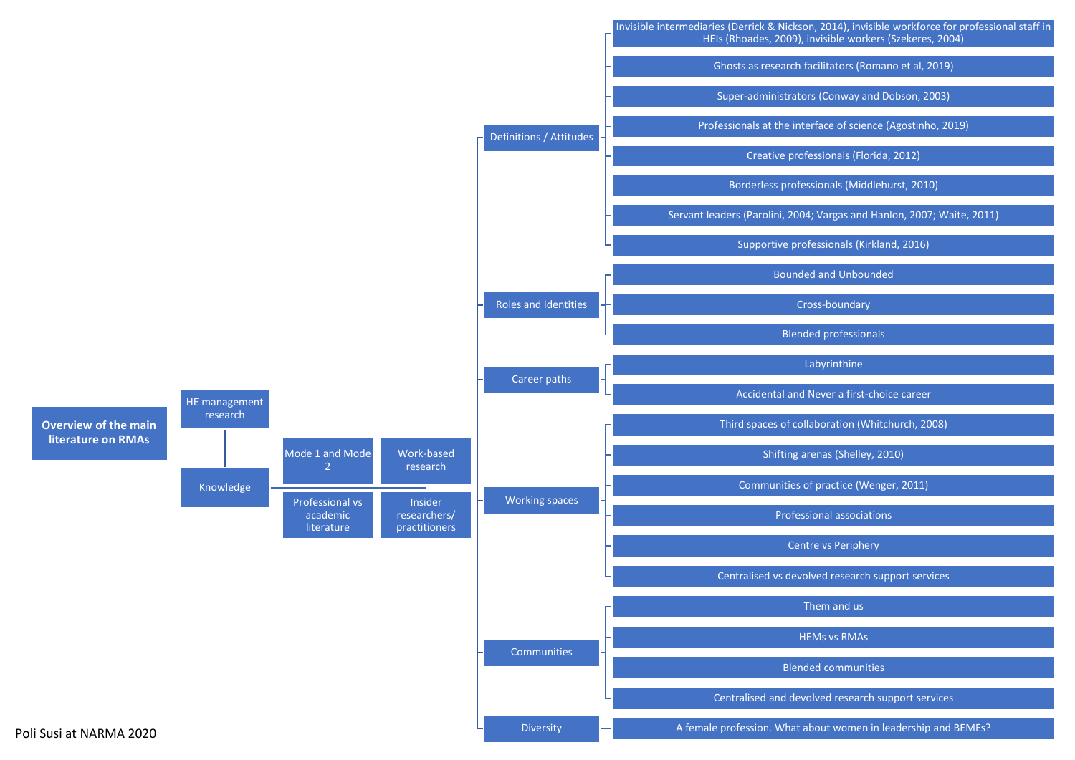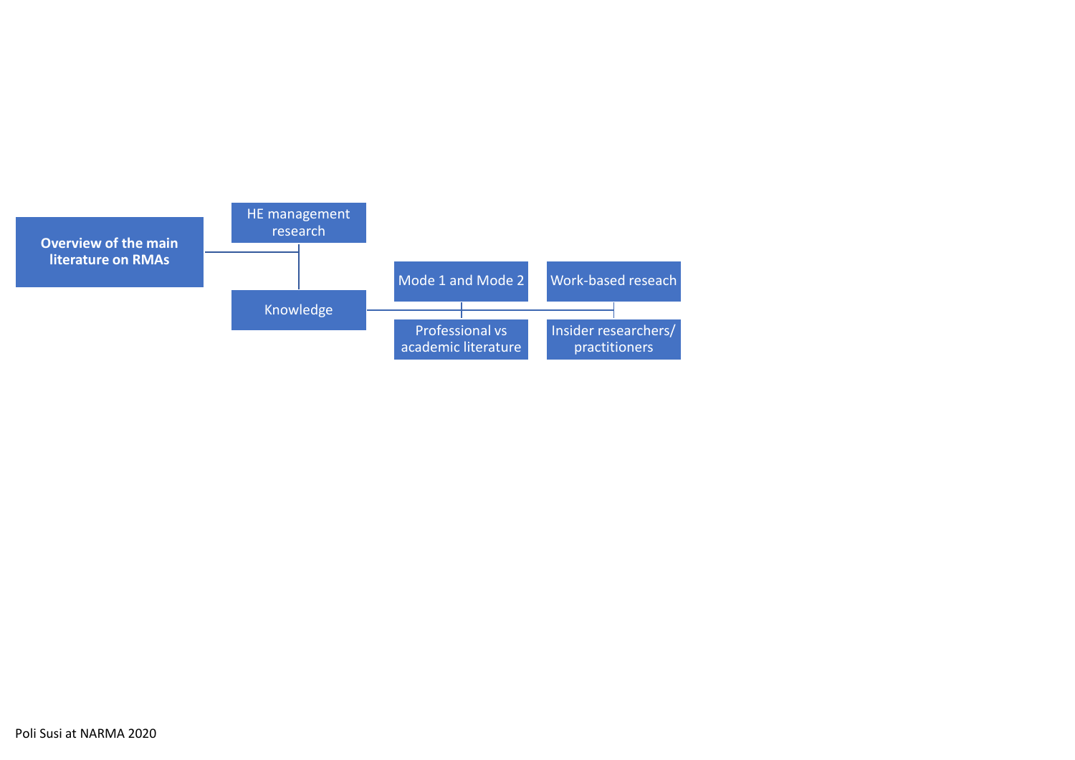